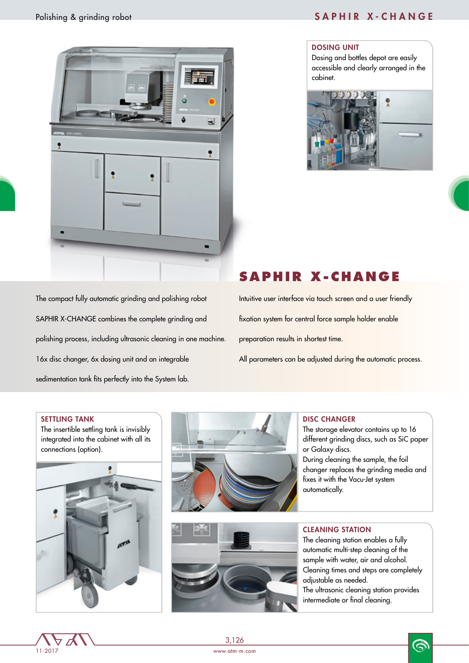

#### DOSING UNIT

Dosing and bottles depot are easily accessible and clearly arranged in the cabinet.





The compact fully automatic grinding and polishing robot SAPHIR X-CHANGE combines the complete grinding and polishing process, including ultrasonic cleaning in one machine. 16x disc changer, 6x dosing unit and an integrable sedimentation tank fits perfectly into the System lab.

# **SAPHIR X-CHANGE**

Intuitive user interface via touch screen and a user friendly fixation system for central force sample holder enable preparation results in shortest time. All parameters can be adjusted during the automatic process.

#### SETTLING TANK

The insertible settling tank is invisibly integrated into the cabinet with all its connections (option).







#### DISC CHANGER

automatically.

The storage elevator contains up to 16 different grinding discs, such as SiC paper or Galaxy discs. During cleaning the sample, the foil changer replaces the grinding media and fixes it with the Vacu-Jet system

#### CLEANING STATION

The cleaning station enables a fully automatic multi-step cleaning of the sample with water, air and alcohol. Cleaning times and steps are completely adjustable as needed. The ultrasonic cleaning station provides intermediate or final cleaning.



3,126

www.atm-m.com

෧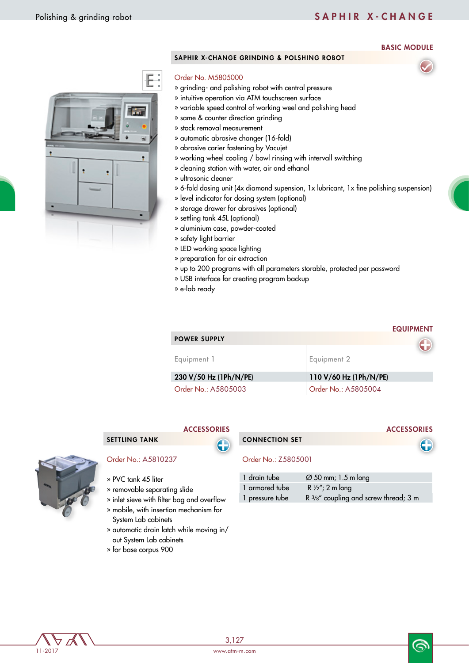## Polishing & grinding robot SAPHIR X - CHANGE

### BASIC MODULE

EQUIPMENT

**ACCESSORIES** 

#### SAPHIR X-CHANGE GRINDING & POLSHING ROBOT

#### Order No. M5805000

- » grinding- and polishing robot with central pressure
- » intuitive operation via ATM touchscreen surface
- » variable speed control of working weel and polishing head
- » same & counter direction grinding
- » stock removal measurement
- » automatic abrasive changer (16-fold)
- » abrasive carier fastening by Vacujet
- » working wheel cooling / bowl rinsing with intervall switching
- » cleaning station with water, air and ethanol
- » ultrasonic cleaner
- » 6-fold dosing unit (4x diamond supension, 1x lubricant, 1x fine polishing suspension)
- » level indicator for dosing system (optional)
- » storage drawer for abrasives (optional)
- » settling tank 45L (optional)
- » aluminium case, powder-coated
- » safety light barrier
- » LED working space lighting
- » preparation for air extraction
- » up to 200 programs with all parameters storable, protected per password
- » USB interface for creating program backup
- » e-lab ready

|                        | EQUIPMENT              |
|------------------------|------------------------|
| <b>POWER SUPPLY</b>    |                        |
|                        |                        |
| Equipment 1            | Equipment 2            |
| 230 V/50 Hz (1Ph/N/PE) | 110 V/60 Hz (1Ph/N/PE) |
| Order No.: A5805003    | Order No.: A5805004    |

### SETTLING TANK

**ACCESSORIES** 

#### Order No.: A5810237

- » PVC tank 45 liter
- » removable separating slide
- » inlet sieve with filter bag and overflow
- » mobile, with insertion mechanism for System Lab cabinets
- » automatic drain latch while moving in/ out System Lab cabinets
- » for base corpus 900



#### Order No.: Z5805001

| 1 drain tube    | $\varnothing$ 50 mm; 1.5 m long       |
|-----------------|---------------------------------------|
| 1 armored tube  | R $\frac{1}{2}$ "; 2 m long           |
| 1 pressure tube | R 3/8" coupling and screw thread; 3 m |



6